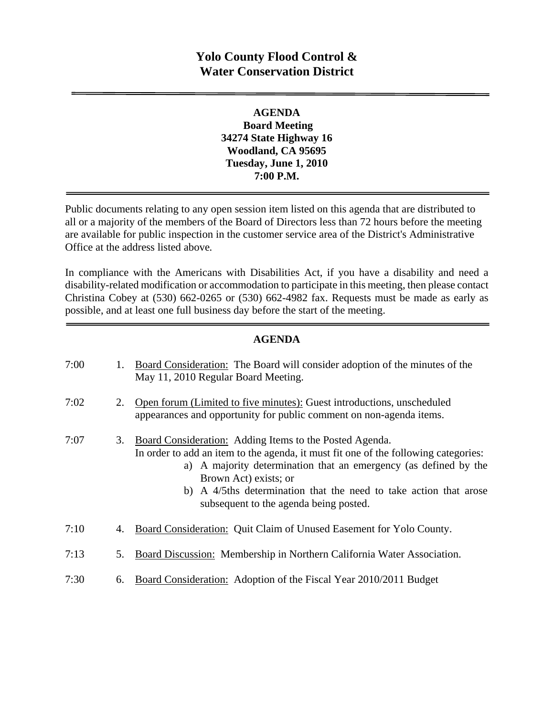# **Yolo County Flood Control & Water Conservation District**

#### **AGENDA Board Meeting 34274 State Highway 16 Woodland, CA 95695 Tuesday, June 1, 2010 7:00 P.M.**

Public documents relating to any open session item listed on this agenda that are distributed to all or a majority of the members of the Board of Directors less than 72 hours before the meeting are available for public inspection in the customer service area of the District's Administrative Office at the address listed above*.* 

In compliance with the Americans with Disabilities Act, if you have a disability and need a disability-related modification or accommodation to participate in this meeting, then please contact Christina Cobey at (530) 662-0265 or (530) 662-4982 fax. Requests must be made as early as possible, and at least one full business day before the start of the meeting.

#### **AGENDA**

| 7:00 |    | Board Consideration: The Board will consider adoption of the minutes of the<br>May 11, 2010 Regular Board Meeting.                                                                                                                                                                                                                                         |
|------|----|------------------------------------------------------------------------------------------------------------------------------------------------------------------------------------------------------------------------------------------------------------------------------------------------------------------------------------------------------------|
| 7:02 | 2. | Open forum (Limited to five minutes): Guest introductions, unscheduled<br>appearances and opportunity for public comment on non-agenda items.                                                                                                                                                                                                              |
| 7:07 | 3. | Board Consideration: Adding Items to the Posted Agenda.<br>In order to add an item to the agenda, it must fit one of the following categories:<br>a) A majority determination that an emergency (as defined by the<br>Brown Act) exists; or<br>b) A 4/5ths determination that the need to take action that arose<br>subsequent to the agenda being posted. |
| 7:10 | 4. | Board Consideration: Quit Claim of Unused Easement for Yolo County.                                                                                                                                                                                                                                                                                        |
| 7:13 | 5. | Board Discussion: Membership in Northern California Water Association.                                                                                                                                                                                                                                                                                     |
| 7:30 | 6. | Board Consideration: Adoption of the Fiscal Year 2010/2011 Budget                                                                                                                                                                                                                                                                                          |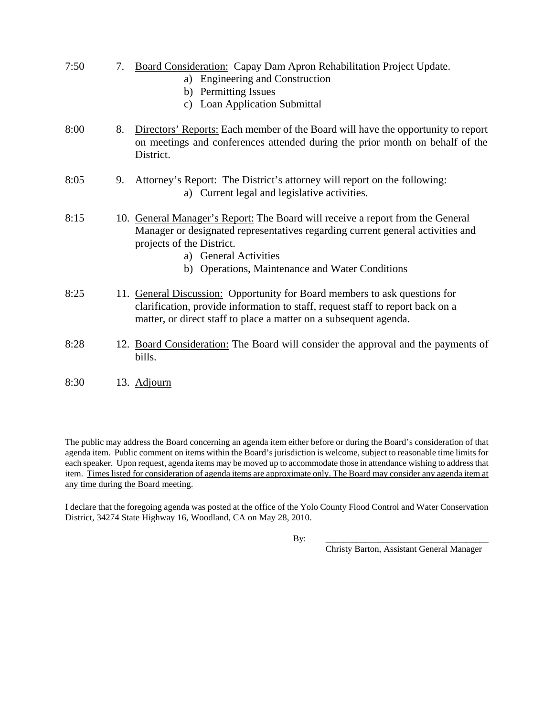- 7:50 7. Board Consideration: Capay Dam Apron Rehabilitation Project Update.
	- a) Engineering and Construction
	- b) Permitting Issues
	- c) Loan Application Submittal
- 8:00 8. Directors' Reports: Each member of the Board will have the opportunity to report on meetings and conferences attended during the prior month on behalf of the District.
- 8:05 9. Attorney's Report: The District's attorney will report on the following: a) Current legal and legislative activities.
- 8:15 10. General Manager's Report: The Board will receive a report from the General Manager or designated representatives regarding current general activities and projects of the District.
	- a) General Activities
	- b) Operations, Maintenance and Water Conditions
- 8:25 11. General Discussion: Opportunity for Board members to ask questions for clarification, provide information to staff, request staff to report back on a matter, or direct staff to place a matter on a subsequent agenda.
- 8:28 12. Board Consideration: The Board will consider the approval and the payments of bills.
- 8:30 13. Adjourn

The public may address the Board concerning an agenda item either before or during the Board's consideration of that agenda item. Public comment on items within the Board's jurisdiction is welcome, subject to reasonable time limits for each speaker. Upon request, agenda items may be moved up to accommodate those in attendance wishing to address that item. Times listed for consideration of agenda items are approximate only. The Board may consider any agenda item at any time during the Board meeting.

I declare that the foregoing agenda was posted at the office of the Yolo County Flood Control and Water Conservation District, 34274 State Highway 16, Woodland, CA on May 28, 2010.

By: \_\_\_\_\_\_\_\_\_\_\_\_\_\_\_\_\_\_\_\_\_\_\_\_\_\_\_\_\_\_\_\_\_\_\_\_\_

Christy Barton, Assistant General Manager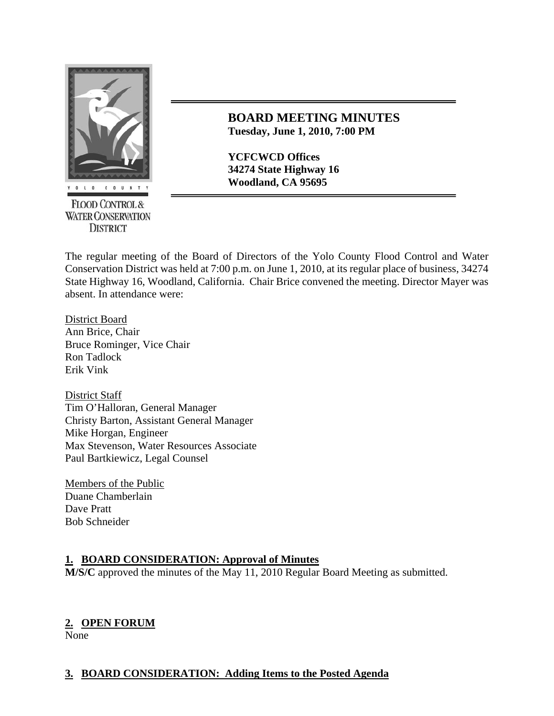

**FLOOD CONTROL & WATER CONSERVATION DISTRICT** 

## **BOARD MEETING MINUTES Tuesday, June 1, 2010, 7:00 PM**

**YCFCWCD Offices 34274 State Highway 16** 

The regular meeting of the Board of Directors of the Yolo County Flood Control and Water Conservation District was held at 7:00 p.m. on June 1, 2010, at its regular place of business, 34274 State Highway 16, Woodland, California. Chair Brice convened the meeting. Director Mayer was absent. In attendance were:

District Board Ann Brice, Chair Bruce Rominger, Vice Chair Ron Tadlock Erik Vink

District Staff Tim O'Halloran, General Manager Christy Barton, Assistant General Manager Mike Horgan, Engineer Max Stevenson, Water Resources Associate Paul Bartkiewicz, Legal Counsel

Members of the Public Duane Chamberlain Dave Pratt Bob Schneider

## **1. BOARD CONSIDERATION: Approval of Minutes**

**M/S/C** approved the minutes of the May 11, 2010 Regular Board Meeting as submitted.

## **2. OPEN FORUM**

None

## **3. BOARD CONSIDERATION: Adding Items to the Posted Agenda**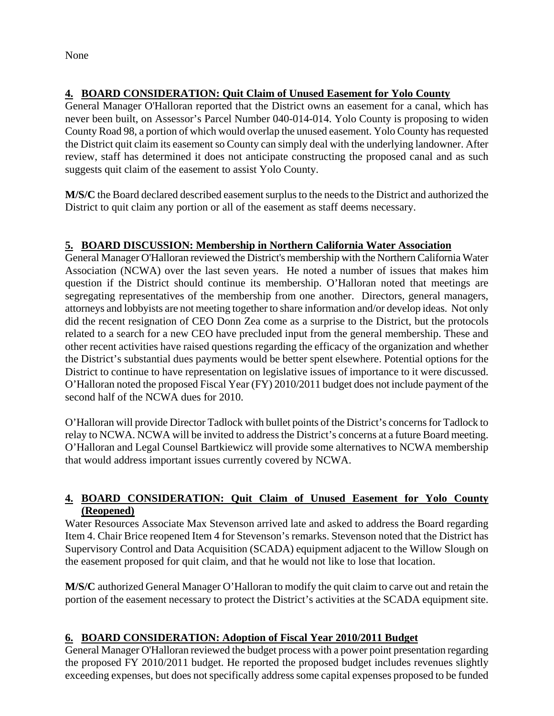None

## **4. BOARD CONSIDERATION: Quit Claim of Unused Easement for Yolo County**

General Manager O'Halloran reported that the District owns an easement for a canal, which has never been built, on Assessor's Parcel Number 040-014-014. Yolo County is proposing to widen County Road 98, a portion of which would overlap the unused easement. Yolo County has requested the District quit claim its easement so County can simply deal with the underlying landowner. After review, staff has determined it does not anticipate constructing the proposed canal and as such suggests quit claim of the easement to assist Yolo County.

**M/S/C** the Board declared described easement surplus to the needs to the District and authorized the District to quit claim any portion or all of the easement as staff deems necessary.

## **5. BOARD DISCUSSION: Membership in Northern California Water Association**

General Manager O'Halloran reviewed the District's membership with the Northern California Water Association (NCWA) over the last seven years. He noted a number of issues that makes him question if the District should continue its membership. O'Halloran noted that meetings are segregating representatives of the membership from one another. Directors, general managers, attorneys and lobbyists are not meeting together to share information and/or develop ideas. Not only did the recent resignation of CEO Donn Zea come as a surprise to the District, but the protocols related to a search for a new CEO have precluded input from the general membership. These and other recent activities have raised questions regarding the efficacy of the organization and whether the District's substantial dues payments would be better spent elsewhere. Potential options for the District to continue to have representation on legislative issues of importance to it were discussed. O'Halloran noted the proposed Fiscal Year (FY) 2010/2011 budget does not include payment of the second half of the NCWA dues for 2010.

O'Halloran will provide Director Tadlock with bullet points of the District's concerns for Tadlock to relay to NCWA. NCWA will be invited to address the District's concerns at a future Board meeting. O'Halloran and Legal Counsel Bartkiewicz will provide some alternatives to NCWA membership that would address important issues currently covered by NCWA.

## **4. BOARD CONSIDERATION: Quit Claim of Unused Easement for Yolo County (Reopened)**

Water Resources Associate Max Stevenson arrived late and asked to address the Board regarding Item 4. Chair Brice reopened Item 4 for Stevenson's remarks. Stevenson noted that the District has Supervisory Control and Data Acquisition (SCADA) equipment adjacent to the Willow Slough on the easement proposed for quit claim, and that he would not like to lose that location.

**M/S/C** authorized General Manager O'Halloran to modify the quit claim to carve out and retain the portion of the easement necessary to protect the District's activities at the SCADA equipment site.

## **6. BOARD CONSIDERATION: Adoption of Fiscal Year 2010/2011 Budget**

General Manager O'Halloran reviewed the budget process with a power point presentation regarding the proposed FY 2010/2011 budget. He reported the proposed budget includes revenues slightly exceeding expenses, but does not specifically address some capital expenses proposed to be funded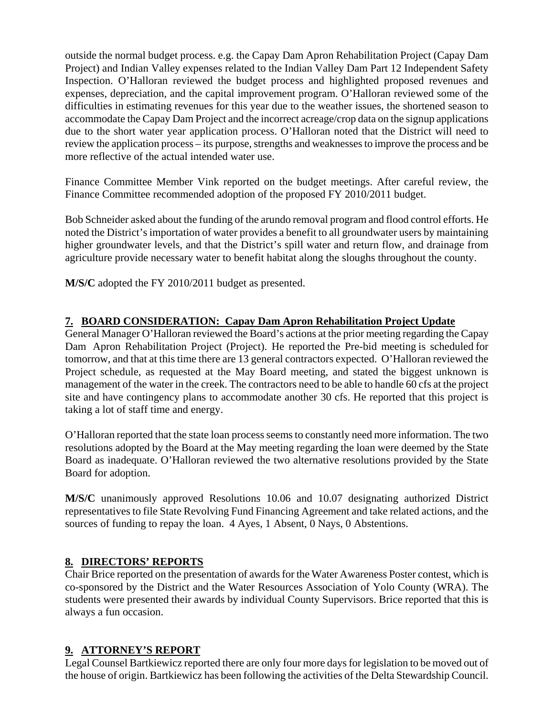outside the normal budget process. e.g. the Capay Dam Apron Rehabilitation Project (Capay Dam Project) and Indian Valley expenses related to the Indian Valley Dam Part 12 Independent Safety Inspection. O'Halloran reviewed the budget process and highlighted proposed revenues and expenses, depreciation, and the capital improvement program. O'Halloran reviewed some of the difficulties in estimating revenues for this year due to the weather issues, the shortened season to accommodate the Capay Dam Project and the incorrect acreage/crop data on the signup applications due to the short water year application process. O'Halloran noted that the District will need to review the application process – its purpose, strengths and weaknesses to improve the process and be more reflective of the actual intended water use.

Finance Committee Member Vink reported on the budget meetings. After careful review, the Finance Committee recommended adoption of the proposed FY 2010/2011 budget.

Bob Schneider asked about the funding of the arundo removal program and flood control efforts. He noted the District's importation of water provides a benefit to all groundwater users by maintaining higher groundwater levels, and that the District's spill water and return flow, and drainage from agriculture provide necessary water to benefit habitat along the sloughs throughout the county.

**M/S/C** adopted the FY 2010/2011 budget as presented.

## **7. BOARD CONSIDERATION: Capay Dam Apron Rehabilitation Project Update**

General Manager O'Halloran reviewed the Board's actions at the prior meeting regarding the Capay Dam Apron Rehabilitation Project (Project). He reported the Pre-bid meeting is scheduled for tomorrow, and that at this time there are 13 general contractors expected. O'Halloran reviewed the Project schedule, as requested at the May Board meeting, and stated the biggest unknown is management of the water in the creek. The contractors need to be able to handle 60 cfs at the project site and have contingency plans to accommodate another 30 cfs. He reported that this project is taking a lot of staff time and energy.

O'Halloran reported that the state loan process seems to constantly need more information. The two resolutions adopted by the Board at the May meeting regarding the loan were deemed by the State Board as inadequate. O'Halloran reviewed the two alternative resolutions provided by the State Board for adoption.

**M/S/C** unanimously approved Resolutions 10.06 and 10.07 designating authorized District representatives to file State Revolving Fund Financing Agreement and take related actions, and the sources of funding to repay the loan. 4 Ayes, 1 Absent, 0 Nays, 0 Abstentions.

## **8. DIRECTORS' REPORTS**

Chair Brice reported on the presentation of awards for the Water Awareness Poster contest, which is co-sponsored by the District and the Water Resources Association of Yolo County (WRA). The students were presented their awards by individual County Supervisors. Brice reported that this is always a fun occasion.

## **9. ATTORNEY'S REPORT**

Legal Counsel Bartkiewicz reported there are only four more days for legislation to be moved out of the house of origin. Bartkiewicz has been following the activities of the Delta Stewardship Council.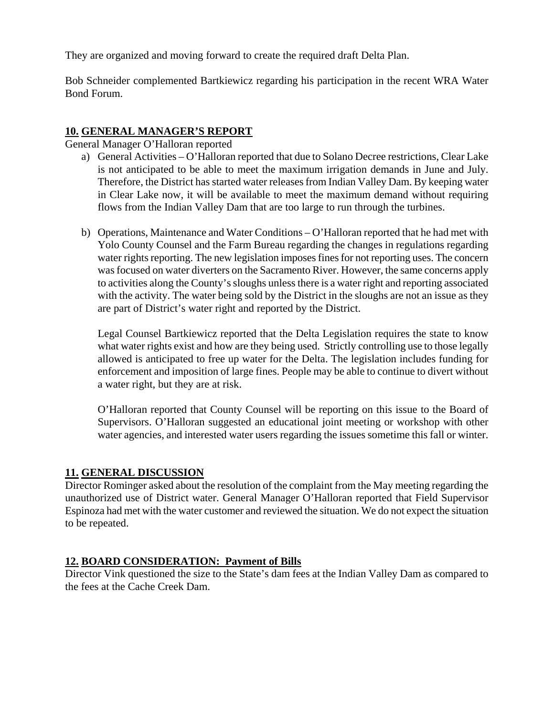They are organized and moving forward to create the required draft Delta Plan.

Bob Schneider complemented Bartkiewicz regarding his participation in the recent WRA Water Bond Forum.

#### **10. GENERAL MANAGER'S REPORT**

General Manager O'Halloran reported

- a) General Activities O'Halloran reported that due to Solano Decree restrictions, Clear Lake is not anticipated to be able to meet the maximum irrigation demands in June and July. Therefore, the District has started water releases from Indian Valley Dam. By keeping water in Clear Lake now, it will be available to meet the maximum demand without requiring flows from the Indian Valley Dam that are too large to run through the turbines.
- b) Operations, Maintenance and Water Conditions O'Halloran reported that he had met with Yolo County Counsel and the Farm Bureau regarding the changes in regulations regarding water rights reporting. The new legislation imposes fines for not reporting uses. The concern was focused on water diverters on the Sacramento River. However, the same concerns apply to activities along the County's sloughs unless there is a water right and reporting associated with the activity. The water being sold by the District in the sloughs are not an issue as they are part of District's water right and reported by the District.

Legal Counsel Bartkiewicz reported that the Delta Legislation requires the state to know what water rights exist and how are they being used. Strictly controlling use to those legally allowed is anticipated to free up water for the Delta. The legislation includes funding for enforcement and imposition of large fines. People may be able to continue to divert without a water right, but they are at risk.

O'Halloran reported that County Counsel will be reporting on this issue to the Board of Supervisors. O'Halloran suggested an educational joint meeting or workshop with other water agencies, and interested water users regarding the issues sometime this fall or winter.

#### **11. GENERAL DISCUSSION**

Director Rominger asked about the resolution of the complaint from the May meeting regarding the unauthorized use of District water. General Manager O'Halloran reported that Field Supervisor Espinoza had met with the water customer and reviewed the situation. We do not expect the situation to be repeated.

#### **12. BOARD CONSIDERATION: Payment of Bills**

Director Vink questioned the size to the State's dam fees at the Indian Valley Dam as compared to the fees at the Cache Creek Dam.